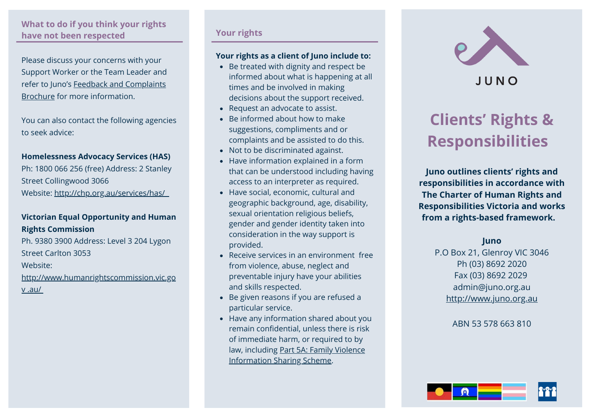## **What to do if you think your rights have not been respected**

Please discuss your concerns with your Support Worker or the Team Leader and refer to Juno's Feedback and Complaints Brochure for more information.

You can also contact the following agencies to seek advice:

### **Homelessness Advocacy Services (HAS)**

Ph: 1800 066 256 (free) Address: 2 Stanley Street Collingwood 3066 Website: <http://chp.org.au/services/has/>

# **Victorian Equal Opportunity and Human Rights Commission**

Ph. 9380 3900 Address: Level 3 204 Lygon Street Carlton 3053 Website: http://www.humanrightscommission.vic.go

v .au/

### **Your rights**

### **Your rights as a client of Juno include to:**

- Be treated with dignity and respect be informed about what is happening at all times and be involved in making decisions about the support received.
- Request an advocate to assist.
- Be informed about how to make suggestions, compliments and or complaints and be assisted to do this.
- Not to be discriminated against.
- Have information explained in a form that can be understood including having access to an interpreter as required.
- Have social, economic, cultural and geographic background, age, disability, sexual orientation religious beliefs, gender and gender identity taken into consideration in the way support is provided.
- Receive services in an environment free from violence, abuse, neglect and preventable injury have your abilities and skills respected.
- Be given reasons if you are refused a particular service.
- Have any information shared about you remain confidential, unless there is risk of immediate harm, or required to by law, including Part 5A: Family Violence Information Sharing Scheme.



# JUNO

# **Clients' Rights & Responsibilities**

**Juno outlines clients' rights and responsibilities in accordance with The Charter of Human Rights and Responsibilities Victoria and works from a rights-based framework.** 

### **Juno**

P.O Box 21, Glenroy VIC 3046 Ph (03) 8692 2020 Fax (03) 8692 2029 admin@juno.org.au [http://www.juno.org.au](http://www.juno.org.au/)

ABN 53 578 663 810